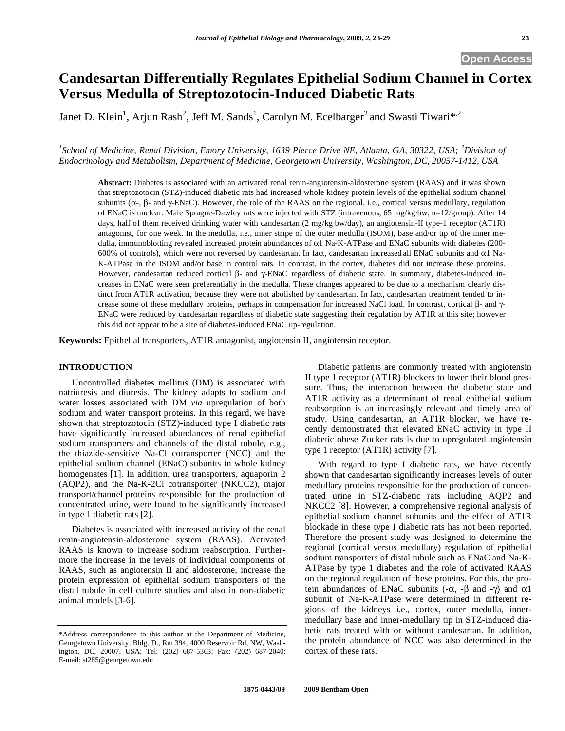# **Candesartan Differentially Regulates Epithelial Sodium Channel in Cortex Versus Medulla of Streptozotocin-Induced Diabetic Rats**

Janet D. Klein<sup>1</sup>, Arjun Rash<sup>2</sup>, Jeff M. Sands<sup>1</sup>, Carolyn M. Ecelbarger<sup>2</sup> and Swasti Tiwari\*<sup>,2</sup>

<sup>1</sup> School of Medicine, Renal Division, Emory University, 1639 Pierce Drive NE, Atlanta, GA, 30322, USA; <sup>2</sup> Division of *Endocrinology and Metabolism, Department of Medicine, Georgetown University, Washington, DC, 20057-1412, USA* 

**Abstract:** Diabetes is associated with an activated renal renin-angiotensin-aldosterone system (RAAS) and it was shown that streptozotocin (STZ)-induced diabetic rats had increased whole kidney protein levels of the epithelial sodium channel subunits ( $\alpha$ -,  $\beta$ - and  $\gamma$ -ENaC). However, the role of the RAAS on the regional, i.e., cortical versus medullary, regulation of ENaC is unclear. Male Sprague-Dawley rats were injected with STZ (intravenous, 65 mg/kg·bw, n=12/group). After 14 days, half of them received drinking water with candesartan (2 mg/kg·bw/day), an angiotensin-II type-1 receptor (AT1R) antagonist, for one week. In the medulla, i.e., inner stripe of the outer medulla (ISOM), base and/or tip of the inner medulla, immunoblotting revealed increased protein abundances of  $\alpha$ 1 Na-K-ATPase and ENaC subunits with diabetes (200-600% of controls), which were not reversed by candesartan. In fact, candesartan increased all ENaC subunits and  $\alpha$ 1 Na-K-ATPase in the ISOM and/or base in control rats. In contrast, in the cortex, diabetes did not increase these proteins. However, candesartan reduced cortical  $\beta$ - and  $\gamma$ -ENaC regardless of diabetic state. In summary, diabetes-induced increases in ENaC were seen preferentially in the medulla. These changes appeared to be due to a mechanism clearly distinct from AT1R activation, because they were not abolished by candesartan. In fact, candesartan treatment tended to increase some of these medullary proteins, perhaps in compensation for increased NaCl load. In contrast, cortical  $\beta$ - and  $\gamma$ -ENaC were reduced by candesartan regardless of diabetic state suggesting their regulation by AT1R at this site; however this did not appear to be a site of diabetes-induced ENaC up-regulation.

**Keywords:** Epithelial transporters, AT1R antagonist, angiotensin II, angiotensin receptor.

# **INTRODUCTION**

 Uncontrolled diabetes mellitus (DM) is associated with natriuresis and diuresis. The kidney adapts to sodium and water losses associated with DM *via* upregulation of both sodium and water transport proteins. In this regard, we have shown that streptozotocin (STZ)-induced type I diabetic rats have significantly increased abundances of renal epithelial sodium transporters and channels of the distal tubule, e.g., the thiazide-sensitive Na-Cl cotransporter (NCC) and the epithelial sodium channel (ENaC) subunits in whole kidney homogenates [1]. In addition, urea transporters, aquaporin 2 (AQP2), and the Na-K-2Cl cotransporter (NKCC2), major transport/channel proteins responsible for the production of concentrated urine, were found to be significantly increased in type 1 diabetic rats [2].

 Diabetes is associated with increased activity of the renal renin-angiotensin-aldosterone system (RAAS). Activated RAAS is known to increase sodium reabsorption. Furthermore the increase in the levels of individual components of RAAS, such as angiotensin II and aldosterone, increase the protein expression of epithelial sodium transporters of the distal tubule in cell culture studies and also in non-diabetic animal models [3-6].

 Diabetic patients are commonly treated with angiotensin II type 1 receptor (AT1R) blockers to lower their blood pressure. Thus, the interaction between the diabetic state and AT1R activity as a determinant of renal epithelial sodium reabsorption is an increasingly relevant and timely area of study. Using candesartan, an AT1R blocker, we have recently demonstrated that elevated ENaC activity in type II diabetic obese Zucker rats is due to upregulated angiotensin type 1 receptor (AT1R) activity [7].

 With regard to type I diabetic rats, we have recently shown that candesartan significantly increases levels of outer medullary proteins responsible for the production of concentrated urine in STZ-diabetic rats including AQP2 and NKCC2 [8]. However, a comprehensive regional analysis of epithelial sodium channel subunits and the effect of AT1R blockade in these type I diabetic rats has not been reported. Therefore the present study was designed to determine the regional (cortical versus medullary) regulation of epithelial sodium transporters of distal tubule such as ENaC and Na-K-ATPase by type 1 diabetes and the role of activated RAAS on the regional regulation of these proteins. For this, the protein abundances of ENaC subunits  $(-\alpha, -\beta \text{ and } -\gamma)$  and  $\alpha$ 1 subunit of Na-K-ATPase were determined in different regions of the kidneys i.e., cortex, outer medulla, innermedullary base and inner-medullary tip in STZ-induced diabetic rats treated with or without candesartan. In addition, the protein abundance of NCC was also determined in the cortex of these rats.

<sup>\*</sup>Address correspondence to this author at the Department of Medicine, Georgetown University, Bldg. D., Rm 394, 4000 Reservoir Rd, NW, Washington, DC, 20007, USA; Tel: (202) 687-5363; Fax: (202) 687-2040; E-mail: st285@georgetown.edu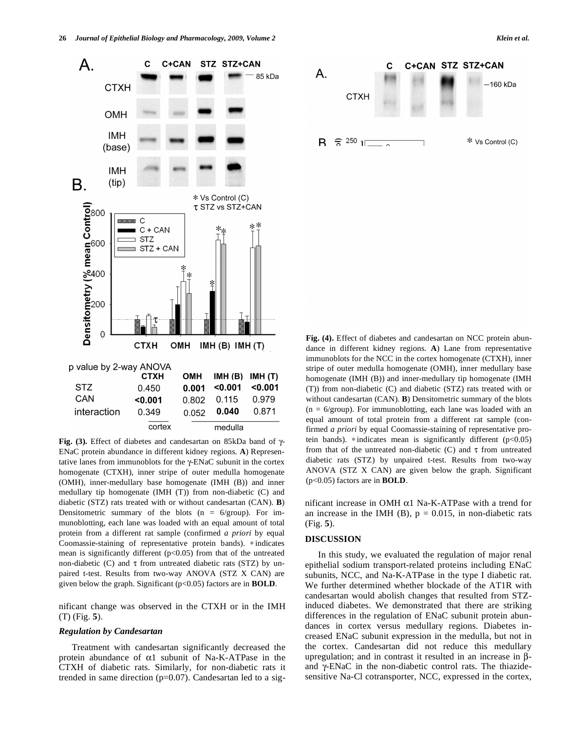

Fig. (3). Effect of diabetes and candesartan on 85kDa band of  $\gamma$ -ENaC protein abundance in different kidney regions. **A**) Representative lanes from immunoblots for the  $\gamma$ -ENaC subunit in the cortex homogenate (CTXH), inner stripe of outer medulla homogenate (OMH), inner-medullary base homogenate (IMH (B)) and inner medullary tip homogenate (IMH (T)) from non-diabetic (C) and diabetic (STZ) rats treated with or without candesartan (CAN). **B**) Densitometric summary of the blots  $(n = 6/$ group). For immunoblotting, each lane was loaded with an equal amount of total protein from a different rat sample (confirmed *a priori* by equal Coomassie-staining of representative protein bands). \* indicates mean is significantly different  $(p<0.05)$  from that of the untreated non-diabetic (C) and  $\tau$  from untreated diabetic rats (STZ) by unpaired t-test. Results from two-way ANOVA (STZ X CAN) are given below the graph. Significant (p<0.05) factors are in **BOLD**.

nificant change was observed in the CTXH or in the IMH (T) (Fig. **5**).

## *Regulation by Candesartan*

 Treatment with candesartan significantly decreased the protein abundance of  $\alpha$ 1 subunit of Na-K-ATPase in the CTXH of diabetic rats. Similarly, for non-diabetic rats it trended in same direction ( $p=0.07$ ). Candesartan led to a sig**Fig. (4).** Effect of diabetes and candesartan on NCC protein abundance in different kidney regions. **A**) Lane from representative immunoblots for the NCC in the cortex homogenate (CTXH), inner stripe of outer medulla homogenate (OMH), inner medullary base homogenate (IMH (B)) and inner-medullary tip homogenate (IMH (T)) from non-diabetic (C) and diabetic (STZ) rats treated with or without candesartan (CAN). **B**) Densitometric summary of the blots  $(n = 6/$ group). For immunoblotting, each lane was loaded with an equal amount of total protein from a different rat sample (confirmed *a priori* by equal Coomassie-staining of representative protein bands).  $*$  indicates mean is significantly different ( $p$ <0.05) from that of the untreated non-diabetic (C) and  $\tau$  from untreated diabetic rats (STZ) by unpaired t-test. Results from two-way ANOVA (STZ X CAN) are given below the graph. Significant (p<0.05) factors are in **BOLD**.

nificant increase in OMH  $\alpha$ 1 Na-K-ATPase with a trend for an increase in the IMH (B),  $p = 0.015$ , in non-diabetic rats (Fig. **5**).

# **DISCUSSION**

 In this study, we evaluated the regulation of major renal epithelial sodium transport-related proteins including ENaC subunits, NCC, and Na-K-ATPase in the type I diabetic rat. We further determined whether blockade of the AT1R with candesartan would abolish changes that resulted from STZinduced diabetes. We demonstrated that there are striking differences in the regulation of ENaC subunit protein abundances in cortex versus medullary regions. Diabetes increased ENaC subunit expression in the medulla, but not in the cortex. Candesartan did not reduce this medullary upregulation; and in contrast it resulted in an increase in  $\beta$ and  $\gamma$ -ENaC in the non-diabetic control rats. The thiazidesensitive Na-Cl cotransporter, NCC, expressed in the cortex,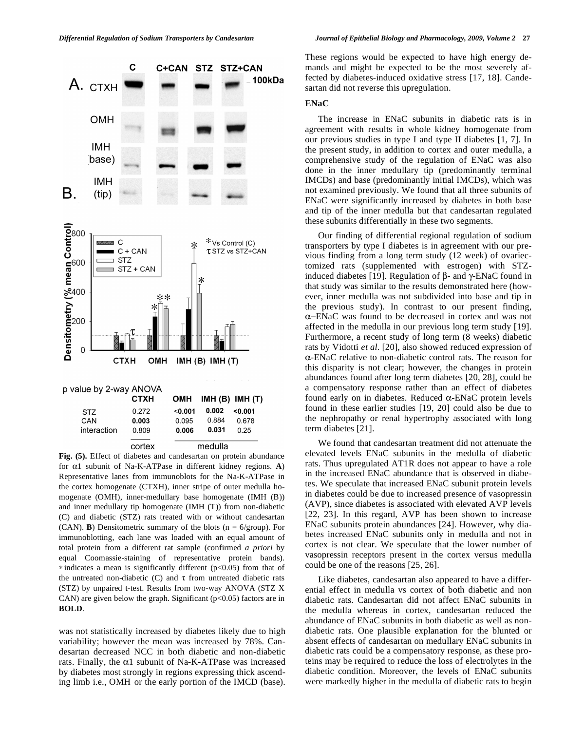

**Fig. (5).** Effect of diabetes and candesartan on protein abundance for  $\alpha$ 1 subunit of Na-K-ATPase in different kidney regions. **A**) Representative lanes from immunoblots for the Na-K-ATPase in the cortex homogenate (CTXH), inner stripe of outer medulla homogenate (OMH), inner-medullary base homogenate (IMH (B)) and inner medullary tip homogenate (IMH (T)) from non-diabetic (C) and diabetic (STZ) rats treated with or without candesartan (CAN). **B**) Densitometric summary of the blots ( $n = 6$ /group). For immunoblotting, each lane was loaded with an equal amount of total protein from a different rat sample (confirmed *a priori* by equal Coomassie-staining of representative protein bands).  $*$  indicates a mean is significantly different ( $p<0.05$ ) from that of the untreated non-diabetic (C) and  $\tau$  from untreated diabetic rats (STZ) by unpaired t-test. Results from two-way ANOVA (STZ X CAN) are given below the graph. Significant  $(p<0.05)$  factors are in **BOLD**.

was not statistically increased by diabetes likely due to high variability; however the mean was increased by 78%. Candesartan decreased NCC in both diabetic and non-diabetic rats. Finally, the  $\alpha$ 1 subunit of Na-K-ATPase was increased by diabetes most strongly in regions expressing thick ascending limb i.e., OMH or the early portion of the IMCD (base). These regions would be expected to have high energy demands and might be expected to be the most severely affected by diabetes-induced oxidative stress [17, 18]. Candesartan did not reverse this upregulation.

#### **ENaC**

 The increase in ENaC subunits in diabetic rats is in agreement with results in whole kidney homogenate from our previous studies in type I and type II diabetes [1, 7]. In the present study, in addition to cortex and outer medulla, a comprehensive study of the regulation of ENaC was also done in the inner medullary tip (predominantly terminal IMCDs) and base (predominantly initial IMCDs), which was not examined previously. We found that all three subunits of ENaC were significantly increased by diabetes in both base and tip of the inner medulla but that candesartan regulated these subunits differentially in these two segments.

 Our finding of differential regional regulation of sodium transporters by type I diabetes is in agreement with our previous finding from a long term study (12 week) of ovariectomized rats (supplemented with estrogen) with STZinduced diabetes [19]. Regulation of  $\beta$ - and  $\gamma$ -ENaC found in that study was similar to the results demonstrated here (however, inner medulla was not subdivided into base and tip in the previous study). In contrast to our present finding, -ENaC was found to be decreased in cortex and was not affected in the medulla in our previous long term study [19]. Furthermore, a recent study of long term (8 weeks) diabetic rats by Vidotti *et al.* [20], also showed reduced expression of  $\alpha$ -ENaC relative to non-diabetic control rats. The reason for this disparity is not clear; however, the changes in protein abundances found after long term diabetes [20, 28], could be a compensatory response rather than an effect of diabetes found early on in diabetes. Reduced  $\alpha$ -ENaC protein levels found in these earlier studies [19, 20] could also be due to the nephropathy or renal hypertrophy associated with long term diabetes [21].

 We found that candesartan treatment did not attenuate the elevated levels ENaC subunits in the medulla of diabetic rats. Thus upregulated AT1R does not appear to have a role in the increased ENaC abundance that is observed in diabetes. We speculate that increased ENaC subunit protein levels in diabetes could be due to increased presence of vasopressin (AVP), since diabetes is associated with elevated AVP levels [22, 23]. In this regard, AVP has been shown to increase ENaC subunits protein abundances [24]. However, why diabetes increased ENaC subunits only in medulla and not in cortex is not clear. We speculate that the lower number of vasopressin receptors present in the cortex versus medulla could be one of the reasons [25, 26].

 Like diabetes, candesartan also appeared to have a differential effect in medulla vs cortex of both diabetic and non diabetic rats. Candesartan did not affect ENaC subunits in the medulla whereas in cortex, candesartan reduced the abundance of ENaC subunits in both diabetic as well as nondiabetic rats. One plausible explanation for the blunted or absent effects of candesartan on medullary ENaC subunits in diabetic rats could be a compensatory response, as these proteins may be required to reduce the loss of electrolytes in the diabetic condition. Moreover, the levels of ENaC subunits were markedly higher in the medulla of diabetic rats to begin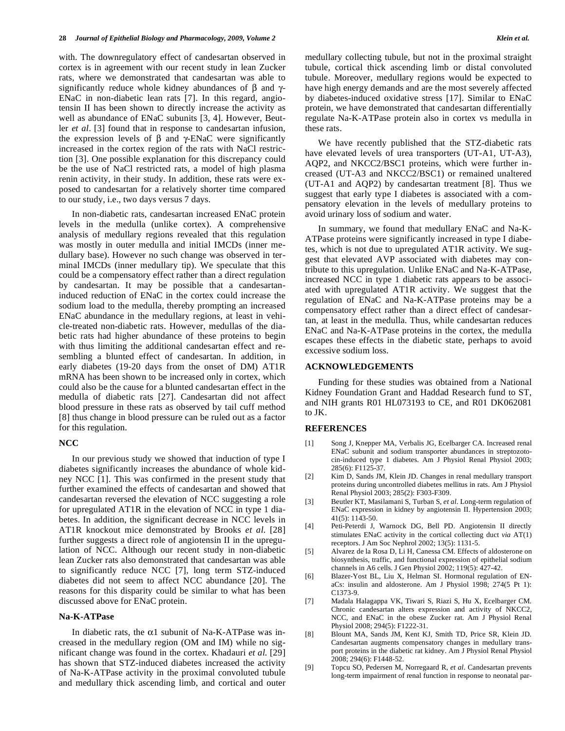with. The downregulatory effect of candesartan observed in cortex is in agreement with our recent study in lean Zucker rats, where we demonstrated that candesartan was able to significantly reduce whole kidney abundances of  $\beta$  and  $\gamma$ -ENaC in non-diabetic lean rats [7]. In this regard, angiotensin II has been shown to directly increase the activity as well as abundance of ENaC subunits [3, 4]. However, Beutler *et al*. [3] found that in response to candesartan infusion, the expression levels of  $\beta$  and  $\gamma$ -ENaC were significantly increased in the cortex region of the rats with NaCl restriction [3]. One possible explanation for this discrepancy could be the use of NaCl restricted rats, a model of high plasma renin activity, in their study. In addition, these rats were exposed to candesartan for a relatively shorter time compared to our study, i.e., two days versus 7 days.

 In non-diabetic rats, candesartan increased ENaC protein levels in the medulla (unlike cortex). A comprehensive analysis of medullary regions revealed that this regulation was mostly in outer medulla and initial IMCDs (inner medullary base). However no such change was observed in terminal IMCDs (inner medullary tip). We speculate that this could be a compensatory effect rather than a direct regulation by candesartan. It may be possible that a candesartaninduced reduction of ENaC in the cortex could increase the sodium load to the medulla, thereby prompting an increased ENaC abundance in the medullary regions, at least in vehicle-treated non-diabetic rats. However, medullas of the diabetic rats had higher abundance of these proteins to begin with thus limiting the additional candesartan effect and resembling a blunted effect of candesartan. In addition, in early diabetes (19-20 days from the onset of DM) AT1R mRNA has been shown to be increased only in cortex, which could also be the cause for a blunted candesartan effect in the medulla of diabetic rats [27]. Candesartan did not affect blood pressure in these rats as observed by tail cuff method [8] thus change in blood pressure can be ruled out as a factor for this regulation.

### **NCC**

 In our previous study we showed that induction of type I diabetes significantly increases the abundance of whole kidney NCC [1]. This was confirmed in the present study that further examined the effects of candesartan and showed that candesartan reversed the elevation of NCC suggesting a role for upregulated AT1R in the elevation of NCC in type 1 diabetes. In addition, the significant decrease in NCC levels in AT1R knockout mice demonstrated by Brooks *et al*. [28] further suggests a direct role of angiotensin II in the upregulation of NCC. Although our recent study in non-diabetic lean Zucker rats also demonstrated that candesartan was able to significantly reduce NCC [7], long term STZ-induced diabetes did not seem to affect NCC abundance [20]. The reasons for this disparity could be similar to what has been discussed above for ENaC protein.

# **Na-K-ATPase**

In diabetic rats, the  $\alpha$ 1 subunit of Na-K-ATPase was increased in the medullary region (OM and IM) while no significant change was found in the cortex. Khadauri *et al.* [29] has shown that STZ-induced diabetes increased the activity of Na-K-ATPase activity in the proximal convoluted tubule and medullary thick ascending limb, and cortical and outer medullary collecting tubule, but not in the proximal straight tubule, cortical thick ascending limb or distal convoluted tubule. Moreover, medullary regions would be expected to have high energy demands and are the most severely affected by diabetes-induced oxidative stress [17]. Similar to ENaC protein, we have demonstrated that candesartan differentially regulate Na-K-ATPase protein also in cortex vs medulla in these rats.

 We have recently published that the STZ-diabetic rats have elevated levels of urea transporters (UT-A1, UT-A3), AQP2, and NKCC2/BSC1 proteins, which were further increased (UT-A3 and NKCC2/BSC1) or remained unaltered (UT-A1 and AQP2) by candesartan treatment [8]. Thus we suggest that early type I diabetes is associated with a compensatory elevation in the levels of medullary proteins to avoid urinary loss of sodium and water.

 In summary, we found that medullary ENaC and Na-K-ATPase proteins were significantly increased in type I diabetes, which is not due to upregulated AT1R activity. We suggest that elevated AVP associated with diabetes may contribute to this upregulation. Unlike ENaC and Na-K-ATPase, increased NCC in type 1 diabetic rats appears to be associated with upregulated AT1R activity. We suggest that the regulation of ENaC and Na-K-ATPase proteins may be a compensatory effect rather than a direct effect of candesartan, at least in the medulla. Thus, while candesartan reduces ENaC and Na-K-ATPase proteins in the cortex, the medulla escapes these effects in the diabetic state, perhaps to avoid excessive sodium loss.

## **ACKNOWLEDGEMENTS**

 Funding for these studies was obtained from a National Kidney Foundation Grant and Haddad Research fund to ST, and NIH grants R01 HL073193 to CE, and R01 DK062081 to JK.

#### **REFERENCES**

- [1] Song J, Knepper MA, Verbalis JG, Ecelbarger CA. Increased renal ENaC subunit and sodium transporter abundances in streptozotocin-induced type 1 diabetes. Am J Physiol Renal Physiol 2003; 285(6): F1125-37.
- [2] Kim D, Sands JM, Klein JD. Changes in renal medullary transport proteins during uncontrolled diabetes mellitus in rats. Am J Physiol Renal Physiol 2003; 285(2): F303-F309.
- [3] Beutler KT, Masilamani S, Turban S, *et al*. Long-term regulation of ENaC expression in kidney by angiotensin II. Hypertension 2003; 41(5): 1143-50.
- [4] Peti-Peterdi J, Warnock DG, Bell PD. Angiotensin II directly stimulates ENaC activity in the cortical collecting duct *via* AT(1) receptors. J Am Soc Nephrol 2002; 13(5): 1131-5.
- [5] Alvarez de la Rosa D, Li H, Canessa CM. Effects of aldosterone on biosynthesis, traffic, and functional expression of epithelial sodium channels in A6 cells. J Gen Physiol 2002; 119(5): 427-42.
- [6] Blazer-Yost BL, Liu X, Helman SI. Hormonal regulation of ENaCs: insulin and aldosterone. Am J Physiol 1998; 274(5 Pt 1): C1373-9.
- [7] Madala Halagappa VK, Tiwari S, Riazi S, Hu X, Ecelbarger CM. Chronic candesartan alters expression and activity of NKCC2, NCC, and ENaC in the obese Zucker rat. Am J Physiol Renal Physiol 2008; 294(5): F1222-31.
- [8] Blount MA, Sands JM, Kent KJ, Smith TD, Price SR, Klein JD. Candesartan augments compensatory changes in medullary transport proteins in the diabetic rat kidney. Am J Physiol Renal Physiol 2008; 294(6): F1448-52.
- [9] Topcu SO, Pedersen M, Norregaard R, *et al*. Candesartan prevents long-term impairment of renal function in response to neonatal par-